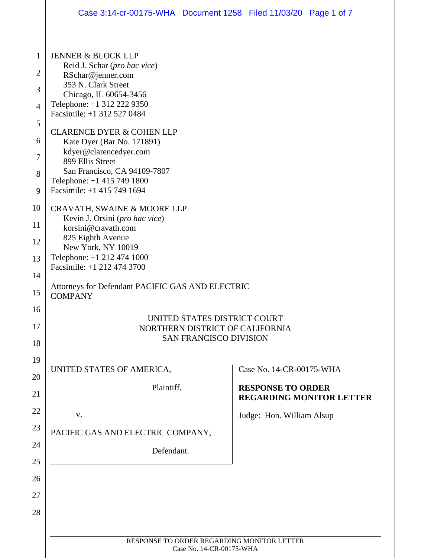|                | Case 3:14-cr-00175-WHA  Document 1258  Filed 11/03/20  Page 1 of 7                                                                                                                                                                                                       |  |                           |                                 |
|----------------|--------------------------------------------------------------------------------------------------------------------------------------------------------------------------------------------------------------------------------------------------------------------------|--|---------------------------|---------------------------------|
|                |                                                                                                                                                                                                                                                                          |  |                           |                                 |
| $\mathbf{1}$   | <b>JENNER &amp; BLOCK LLP</b><br>Reid J. Schar (pro hac vice)                                                                                                                                                                                                            |  |                           |                                 |
| $\overline{2}$ | RSchar@jenner.com                                                                                                                                                                                                                                                        |  |                           |                                 |
| 3              | 353 N. Clark Street<br>Chicago, IL 60654-3456                                                                                                                                                                                                                            |  |                           |                                 |
| $\overline{4}$ | Telephone: +1 312 222 9350<br>Facsimile: +1 312 527 0484<br><b>CLARENCE DYER &amp; COHEN LLP</b><br>Kate Dyer (Bar No. 171891)<br>kdyer@clarencedyer.com<br>899 Ellis Street<br>San Francisco, CA 94109-7807<br>Telephone: +1 415 749 1800<br>Facsimile: +1 415 749 1694 |  |                           |                                 |
| 5              |                                                                                                                                                                                                                                                                          |  |                           |                                 |
| 6              |                                                                                                                                                                                                                                                                          |  |                           |                                 |
| 7              |                                                                                                                                                                                                                                                                          |  |                           |                                 |
| 8              |                                                                                                                                                                                                                                                                          |  |                           |                                 |
| 9              |                                                                                                                                                                                                                                                                          |  |                           |                                 |
| 10             | CRAVATH, SWAINE & MOORE LLP<br>Kevin J. Orsini (pro hac vice)<br>korsini@cravath.com<br>825 Eighth Avenue<br>New York, NY 10019<br>Telephone: +1 212 474 1000<br>Facsimile: +1 212 474 3700                                                                              |  |                           |                                 |
| 11             |                                                                                                                                                                                                                                                                          |  |                           |                                 |
| 12             |                                                                                                                                                                                                                                                                          |  |                           |                                 |
| 13             |                                                                                                                                                                                                                                                                          |  |                           |                                 |
| 14             | Attorneys for Defendant PACIFIC GAS AND ELECTRIC                                                                                                                                                                                                                         |  |                           |                                 |
| 15             | <b>COMPANY</b>                                                                                                                                                                                                                                                           |  |                           |                                 |
| 16             | UNITED STATES DISTRICT COURT                                                                                                                                                                                                                                             |  |                           |                                 |
| 17<br>18       | NORTHERN DISTRICT OF CALIFORNIA<br><b>SAN FRANCISCO DIVISION</b>                                                                                                                                                                                                         |  |                           |                                 |
| 19             |                                                                                                                                                                                                                                                                          |  |                           |                                 |
| 20             | UNITED STATES OF AMERICA,                                                                                                                                                                                                                                                |  | Case No. 14-CR-00175-WHA  |                                 |
| 21             | Plaintiff,                                                                                                                                                                                                                                                               |  | <b>RESPONSE TO ORDER</b>  | <b>REGARDING MONITOR LETTER</b> |
| 22             | V.                                                                                                                                                                                                                                                                       |  | Judge: Hon. William Alsup |                                 |
| 23             | PACIFIC GAS AND ELECTRIC COMPANY,                                                                                                                                                                                                                                        |  |                           |                                 |
| 24             | Defendant.                                                                                                                                                                                                                                                               |  |                           |                                 |
| 25             |                                                                                                                                                                                                                                                                          |  |                           |                                 |
| 26             |                                                                                                                                                                                                                                                                          |  |                           |                                 |
| 27             |                                                                                                                                                                                                                                                                          |  |                           |                                 |
| 28             |                                                                                                                                                                                                                                                                          |  |                           |                                 |
|                |                                                                                                                                                                                                                                                                          |  |                           |                                 |
|                | RESPONSE TO ORDER REGARDING MONITOR LETTER<br>Case No. 14-CR-00175-WHA                                                                                                                                                                                                   |  |                           |                                 |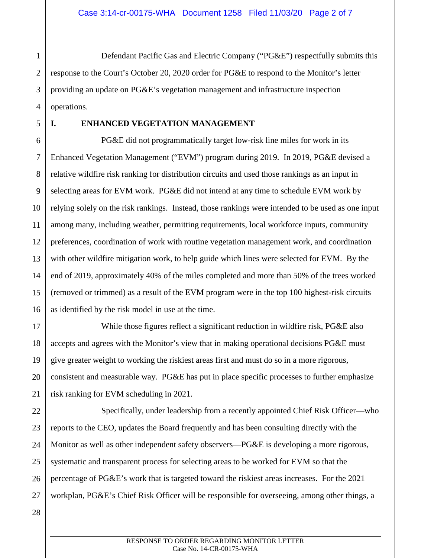1 2 3 4 Defendant Pacific Gas and Electric Company ("PG&E") respectfully submits this response to the Court's October 20, 2020 order for PG&E to respond to the Monitor's letter providing an update on PG&E's vegetation management and infrastructure inspection operations.

5

## **I. ENHANCED VEGETATION MANAGEMENT**

6 PG&E did not programmatically target low-risk line miles for work in its Enhanced Vegetation Management ("EVM") program during 2019. In 2019, PG&E devised a relative wildfire risk ranking for distribution circuits and used those rankings as an input in selecting areas for EVM work. PG&E did not intend at any time to schedule EVM work by relying solely on the risk rankings. Instead, those rankings were intended to be used as one input among many, including weather, permitting requirements, local workforce inputs, community preferences, coordination of work with routine vegetation management work, and coordination with other wildfire mitigation work, to help guide which lines were selected for EVM. By the end of 2019, approximately 40% of the miles completed and more than 50% of the trees worked (removed or trimmed) as a result of the EVM program were in the top 100 highest-risk circuits as identified by the risk model in use at the time.

While those figures reflect a significant reduction in wildfire risk, PG&E also accepts and agrees with the Monitor's view that in making operational decisions PG&E must give greater weight to working the riskiest areas first and must do so in a more rigorous, consistent and measurable way. PG&E has put in place specific processes to further emphasize risk ranking for EVM scheduling in 2021.

Specifically, under leadership from a recently appointed Chief Risk Officer—who reports to the CEO, updates the Board frequently and has been consulting directly with the Monitor as well as other independent safety observers—PG&E is developing a more rigorous, systematic and transparent process for selecting areas to be worked for EVM so that the percentage of PG&E's work that is targeted toward the riskiest areas increases. For the 2021 workplan, PG&E's Chief Risk Officer will be responsible for overseeing, among other things, a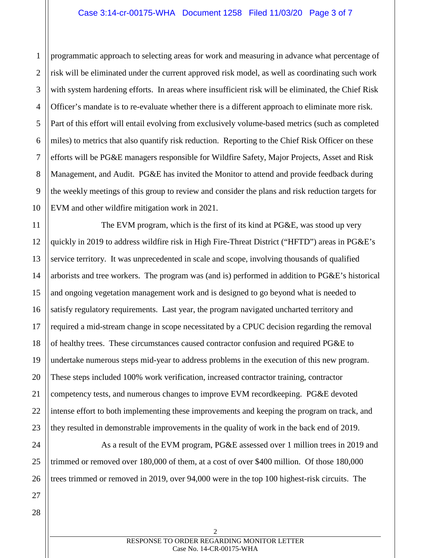#### Case 3:14-cr-00175-WHA Document 1258 Filed 11/03/20 Page 3 of 7

2 3 4 5 6 7 8 9 10 programmatic approach to selecting areas for work and measuring in advance what percentage of risk will be eliminated under the current approved risk model, as well as coordinating such work with system hardening efforts. In areas where insufficient risk will be eliminated, the Chief Risk Officer's mandate is to re-evaluate whether there is a different approach to eliminate more risk. Part of this effort will entail evolving from exclusively volume-based metrics (such as completed miles) to metrics that also quantify risk reduction. Reporting to the Chief Risk Officer on these efforts will be PG&E managers responsible for Wildfire Safety, Major Projects, Asset and Risk Management, and Audit. PG&E has invited the Monitor to attend and provide feedback during the weekly meetings of this group to review and consider the plans and risk reduction targets for EVM and other wildfire mitigation work in 2021.

13 14 15 16 17 18 19 20 22 23 The EVM program, which is the first of its kind at PG&E, was stood up very quickly in 2019 to address wildfire risk in High Fire-Threat District ("HFTD") areas in PG&E's service territory. It was unprecedented in scale and scope, involving thousands of qualified arborists and tree workers. The program was (and is) performed in addition to PG&E's historical and ongoing vegetation management work and is designed to go beyond what is needed to satisfy regulatory requirements. Last year, the program navigated uncharted territory and required a mid-stream change in scope necessitated by a CPUC decision regarding the removal of healthy trees. These circumstances caused contractor confusion and required PG&E to undertake numerous steps mid-year to address problems in the execution of this new program. These steps included 100% work verification, increased contractor training, contractor competency tests, and numerous changes to improve EVM recordkeeping. PG&E devoted intense effort to both implementing these improvements and keeping the program on track, and they resulted in demonstrable improvements in the quality of work in the back end of 2019.

As a result of the EVM program, PG&E assessed over 1 million trees in 2019 and trimmed or removed over 180,000 of them, at a cost of over \$400 million. Of those 180,000 trees trimmed or removed in 2019, over 94,000 were in the top 100 highest-risk circuits. The

21

24

25

26

1

11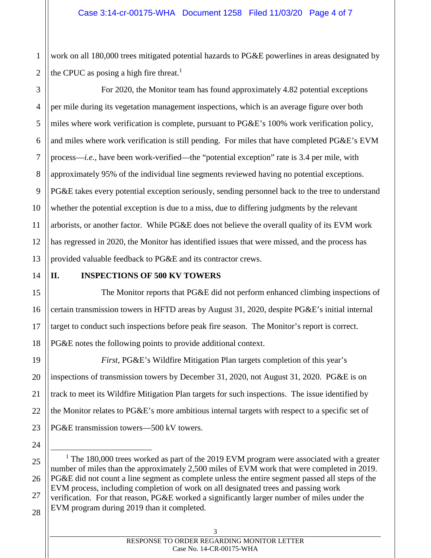2 work on all 180,000 trees mitigated potential hazards to PG&E powerlines in areas designated by the CPUC as posing a high fire threat.<sup>1</sup>

3 4 5 6 7 8 9 10 11 12 13 For 2020, the Monitor team has found approximately 4.82 potential exceptions per mile during its vegetation management inspections, which is an average figure over both miles where work verification is complete, pursuant to PG&E's 100% work verification policy, and miles where work verification is still pending. For miles that have completed PG&E's EVM process—*i.e.*, have been work-verified—the "potential exception" rate is 3.4 per mile, with approximately 95% of the individual line segments reviewed having no potential exceptions. PG&E takes every potential exception seriously, sending personnel back to the tree to understand whether the potential exception is due to a miss, due to differing judgments by the relevant arborists, or another factor. While PG&E does not believe the overall quality of its EVM work has regressed in 2020, the Monitor has identified issues that were missed, and the process has provided valuable feedback to PG&E and its contractor crews.

# 14

1

# **II. INSPECTIONS OF 500 KV TOWERS**

15 16 17 18 The Monitor reports that PG&E did not perform enhanced climbing inspections of certain transmission towers in HFTD areas by August 31, 2020, despite PG&E's initial internal target to conduct such inspections before peak fire season. The Monitor's report is correct. PG&E notes the following points to provide additional context.

19 20 21 22 23 *First*, PG&E's Wildfire Mitigation Plan targets completion of this year's inspections of transmission towers by December 31, 2020, not August 31, 2020. PG&E is on track to meet its Wildfire Mitigation Plan targets for such inspections. The issue identified by the Monitor relates to PG&E's more ambitious internal targets with respect to a specific set of PG&E transmission towers—500 kV towers.

25 26 27 <sup>1</sup> The 180,000 trees worked as part of the 2019 EVM program were associated with a greater number of miles than the approximately 2,500 miles of EVM work that were completed in 2019. PG&E did not count a line segment as complete unless the entire segment passed all steps of the EVM process, including completion of work on all designated trees and passing work verification. For that reason, PG&E worked a significantly larger number of miles under the EVM program during 2019 than it completed.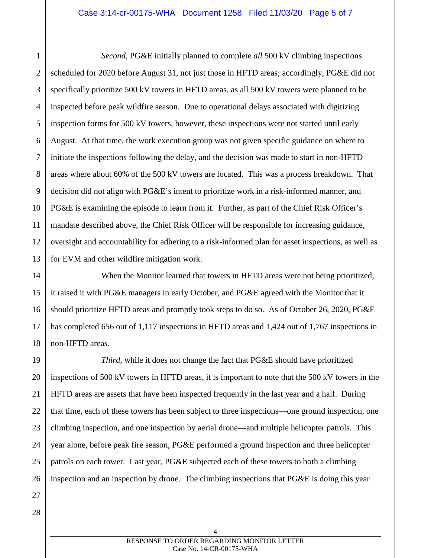1 2 3 4 5 6 7 8 9 10 11 12 13 *Second*, PG&E initially planned to complete *all* 500 kV climbing inspections scheduled for 2020 before August 31, not just those in HFTD areas; accordingly, PG&E did not specifically prioritize 500 kV towers in HFTD areas, as all 500 kV towers were planned to be inspected before peak wildfire season. Due to operational delays associated with digitizing inspection forms for 500 kV towers, however, these inspections were not started until early August. At that time, the work execution group was not given specific guidance on where to initiate the inspections following the delay, and the decision was made to start in non-HFTD areas where about 60% of the 500 kV towers are located. This was a process breakdown. That decision did not align with PG&E's intent to prioritize work in a risk-informed manner, and PG&E is examining the episode to learn from it. Further, as part of the Chief Risk Officer's mandate described above, the Chief Risk Officer will be responsible for increasing guidance, oversight and accountability for adhering to a risk-informed plan for asset inspections, as well as for EVM and other wildfire mitigation work.

14 15 16 17 18 When the Monitor learned that towers in HFTD areas were not being prioritized, it raised it with PG&E managers in early October, and PG&E agreed with the Monitor that it should prioritize HFTD areas and promptly took steps to do so. As of October 26, 2020, PG&E has completed 656 out of 1,117 inspections in HFTD areas and 1,424 out of 1,767 inspections in non-HFTD areas.

19 20 21 22 23 24 25 26 *Third*, while it does not change the fact that PG&E should have prioritized inspections of 500 kV towers in HFTD areas, it is important to note that the 500 kV towers in the HFTD areas are assets that have been inspected frequently in the last year and a half. During that time, each of these towers has been subject to three inspections—one ground inspection, one climbing inspection, and one inspection by aerial drone—and multiple helicopter patrols. This year alone, before peak fire season, PG&E performed a ground inspection and three helicopter patrols on each tower. Last year, PG&E subjected each of these towers to both a climbing inspection and an inspection by drone. The climbing inspections that PG&E is doing this year

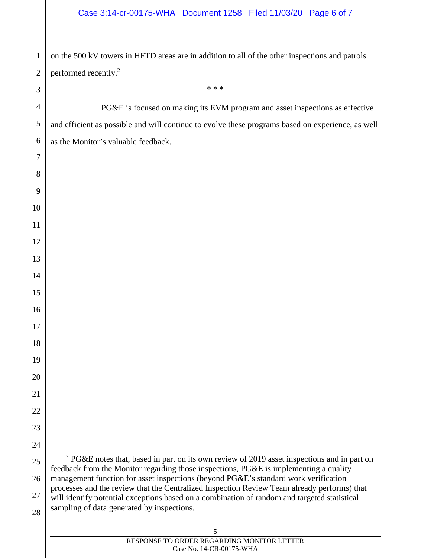### Case 3:14-cr-00175-WHA Document 1258 Filed 11/03/20 Page 6 of 7

on the 500 kV towers in HFTD areas are in addition to all of the other inspections and patrols performed recently.<sup>2</sup>

PG&E is focused on making its EVM program and asset inspections as effective and efficient as possible and will continue to evolve these programs based on experience, as well as the Monitor's valuable feedback.

\* \* \*

 PG&E notes that, based in part on its own review of 2019 asset inspections and in part on feedback from the Monitor regarding those inspections, PG&E is implementing a quality management function for asset inspections (beyond PG&E's standard work verification processes and the review that the Centralized Inspection Review Team already performs) that will identify potential exceptions based on a combination of random and targeted statistical sampling of data generated by inspections.